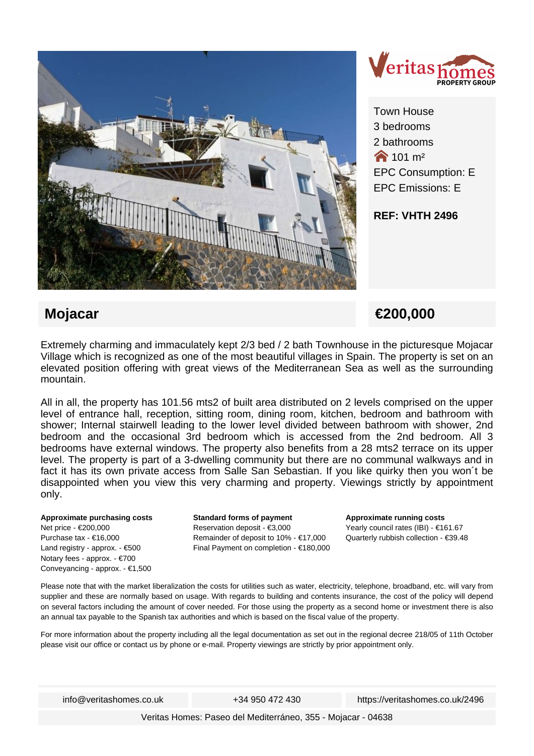



Town House 3 bedrooms 2 bathrooms  $\bigwedge$  101 m<sup>2</sup> EPC Consumption: E EPC Emissions: E

### **REF: VHTH 2496**

# **Mojacar €200,000**

Extremely charming and immaculately kept 2/3 bed / 2 bath Townhouse in the picturesque Mojacar Village which is recognized as one of the most beautiful villages in Spain. The property is set on an elevated position offering with great views of the Mediterranean Sea as well as the surrounding mountain.

All in all, the property has 101.56 mts2 of built area distributed on 2 levels comprised on the upper level of entrance hall, reception, sitting room, dining room, kitchen, bedroom and bathroom with shower; Internal stairwell leading to the lower level divided between bathroom with shower, 2nd bedroom and the occasional 3rd bedroom which is accessed from the 2nd bedroom. All 3 bedrooms have external windows. The property also benefits from a 28 mts2 terrace on its upper level. The property is part of a 3-dwelling community but there are no communal walkways and in fact it has its own private access from Salle San Sebastian. If you like quirky then you won´t be disappointed when you view this very charming and property. Viewings strictly by appointment only.

#### **Approximate purchasing costs** Net price - €200,000 Purchase tax - €16,000 Land registry - approx. - €500 Notary fees - approx. - €700 Conveyancing - approx. - €1,500

**Standard forms of payment** Reservation deposit - €3,000 Remainder of deposit to 10% - €17,000 Final Payment on completion - €180,000 **Approximate running costs** Yearly council rates (IBI) - €161.67 Quarterly rubbish collection - €39.48

Please note that with the market liberalization the costs for utilities such as water, electricity, telephone, broadband, etc. will vary from supplier and these are normally based on usage. With regards to building and contents insurance, the cost of the policy will depend on several factors including the amount of cover needed. For those using the property as a second home or investment there is also an annual tax payable to the Spanish tax authorities and which is based on the fiscal value of the property.

For more information about the property including all the legal documentation as set out in the regional decree 218/05 of 11th October please visit our office or contact us by phone or e-mail. Property viewings are strictly by prior appointment only.

info@veritashomes.co.uk +34 950 472 430 https://veritashomes.co.uk/2496

Veritas Homes: Paseo del Mediterráneo, 355 - Mojacar - 04638